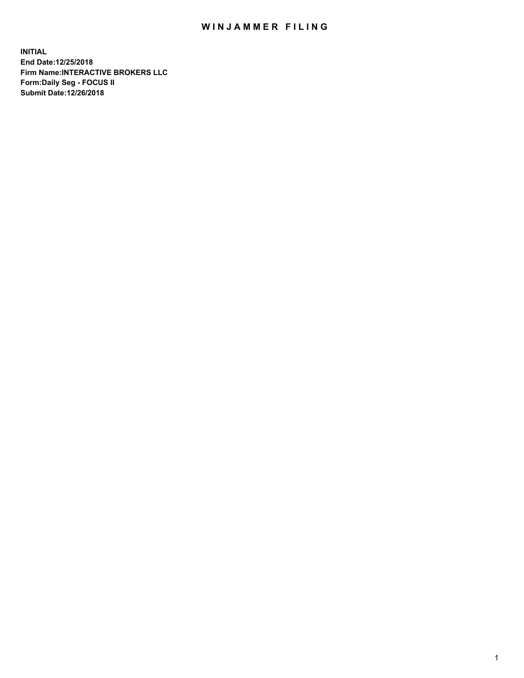## WIN JAMMER FILING

**INITIAL End Date:12/25/2018 Firm Name:INTERACTIVE BROKERS LLC Form:Daily Seg - FOCUS II Submit Date:12/26/2018**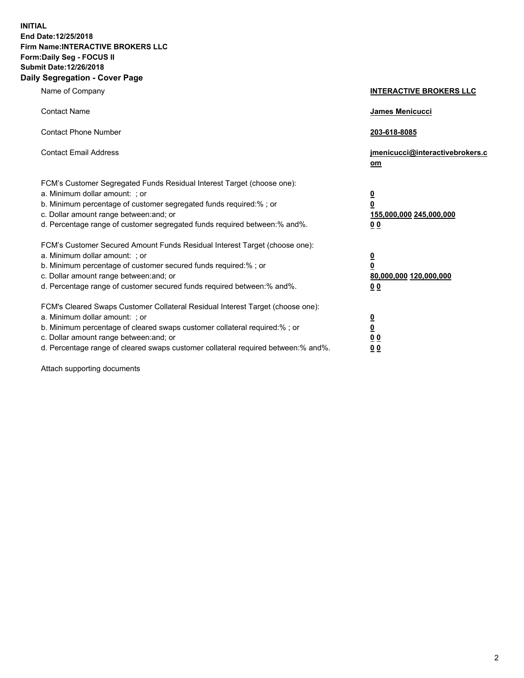**INITIAL End Date:12/25/2018 Firm Name:INTERACTIVE BROKERS LLC Form:Daily Seg - FOCUS II Submit Date:12/26/2018 Daily Segregation - Cover Page**

| Name of Company                                                                                                                                                                                                                                                                                                                | <b>INTERACTIVE BROKERS LLC</b>                                                                  |
|--------------------------------------------------------------------------------------------------------------------------------------------------------------------------------------------------------------------------------------------------------------------------------------------------------------------------------|-------------------------------------------------------------------------------------------------|
| <b>Contact Name</b>                                                                                                                                                                                                                                                                                                            | James Menicucci                                                                                 |
| <b>Contact Phone Number</b>                                                                                                                                                                                                                                                                                                    | 203-618-8085                                                                                    |
| <b>Contact Email Address</b>                                                                                                                                                                                                                                                                                                   | jmenicucci@interactivebrokers.c<br>om                                                           |
| FCM's Customer Segregated Funds Residual Interest Target (choose one):<br>a. Minimum dollar amount: ; or<br>b. Minimum percentage of customer segregated funds required:% ; or<br>c. Dollar amount range between: and; or<br>d. Percentage range of customer segregated funds required between:% and%.                         | $\overline{\mathbf{0}}$<br>$\overline{\mathbf{0}}$<br>155,000,000 245,000,000<br>0 <sub>0</sub> |
| FCM's Customer Secured Amount Funds Residual Interest Target (choose one):<br>a. Minimum dollar amount: ; or<br>b. Minimum percentage of customer secured funds required:%; or<br>c. Dollar amount range between: and; or<br>d. Percentage range of customer secured funds required between:% and%.                            | $\overline{\mathbf{0}}$<br>$\overline{\mathbf{0}}$<br>80,000,000 120,000,000<br>0 <sub>0</sub>  |
| FCM's Cleared Swaps Customer Collateral Residual Interest Target (choose one):<br>a. Minimum dollar amount: ; or<br>b. Minimum percentage of cleared swaps customer collateral required:% ; or<br>c. Dollar amount range between: and; or<br>d. Percentage range of cleared swaps customer collateral required between:% and%. | $\overline{\mathbf{0}}$<br>$\underline{\mathbf{0}}$<br>0 <sub>0</sub><br>0 <sub>0</sub>         |

Attach supporting documents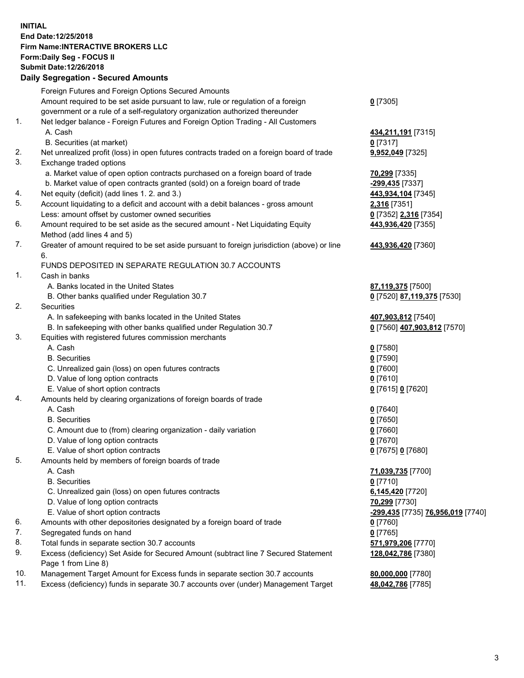## **INITIAL End Date:12/25/2018 Firm Name:INTERACTIVE BROKERS LLC Form:Daily Seg - FOCUS II Submit Date:12/26/2018**

|            | <b>Daily Segregation - Secured Amounts</b>                                                           |                                   |
|------------|------------------------------------------------------------------------------------------------------|-----------------------------------|
|            | Foreign Futures and Foreign Options Secured Amounts                                                  |                                   |
|            | Amount required to be set aside pursuant to law, rule or regulation of a foreign                     | $0$ [7305]                        |
|            | government or a rule of a self-regulatory organization authorized thereunder                         |                                   |
| 1.         | Net ledger balance - Foreign Futures and Foreign Option Trading - All Customers                      |                                   |
|            | A. Cash                                                                                              | 434,211,191 <sub>[7315]</sub>     |
|            | B. Securities (at market)                                                                            | $0$ [7317]                        |
| 2.         | Net unrealized profit (loss) in open futures contracts traded on a foreign board of trade            | 9,952,049 [7325]                  |
| 3.         | Exchange traded options                                                                              |                                   |
|            | a. Market value of open option contracts purchased on a foreign board of trade                       | 70,299 [7335]                     |
|            | b. Market value of open contracts granted (sold) on a foreign board of trade                         | -299,435 [7337]                   |
| 4.         | Net equity (deficit) (add lines 1. 2. and 3.)                                                        | 443,934,104 [7345]                |
| 5.         | Account liquidating to a deficit and account with a debit balances - gross amount                    | <b>2,316</b> [7351]               |
|            | Less: amount offset by customer owned securities                                                     | 0 [7352] 2,316 [7354]             |
| 6.         | Amount required to be set aside as the secured amount - Net Liquidating Equity                       | 443,936,420 [7355]                |
|            | Method (add lines 4 and 5)                                                                           |                                   |
| 7.         | Greater of amount required to be set aside pursuant to foreign jurisdiction (above) or line          | 443,936,420 [7360]                |
|            | 6.                                                                                                   |                                   |
|            | FUNDS DEPOSITED IN SEPARATE REGULATION 30.7 ACCOUNTS                                                 |                                   |
| 1.         | Cash in banks                                                                                        |                                   |
|            | A. Banks located in the United States                                                                | 87,119,375 [7500]                 |
|            | B. Other banks qualified under Regulation 30.7                                                       | 0 [7520] 87,119,375 [7530]        |
| 2.         | Securities                                                                                           |                                   |
|            | A. In safekeeping with banks located in the United States                                            | 407,903,812 [7540]                |
|            | B. In safekeeping with other banks qualified under Regulation 30.7                                   | 0 [7560] 407,903,812 [7570]       |
| 3.         | Equities with registered futures commission merchants                                                |                                   |
|            | A. Cash                                                                                              | $0$ [7580]                        |
|            | <b>B.</b> Securities                                                                                 | $0$ [7590]                        |
|            | C. Unrealized gain (loss) on open futures contracts                                                  | $0$ [7600]                        |
|            | D. Value of long option contracts                                                                    | $0$ [7610]                        |
|            | E. Value of short option contracts                                                                   | 0 [7615] 0 [7620]                 |
| 4.         | Amounts held by clearing organizations of foreign boards of trade                                    |                                   |
|            | A. Cash                                                                                              | $0$ [7640]                        |
|            | <b>B.</b> Securities                                                                                 |                                   |
|            |                                                                                                      | $0$ [7650]<br>$0$ [7660]          |
|            | C. Amount due to (from) clearing organization - daily variation<br>D. Value of long option contracts | $0$ [7670]                        |
|            | E. Value of short option contracts                                                                   |                                   |
| 5.         |                                                                                                      | 0 [7675] 0 [7680]                 |
|            | Amounts held by members of foreign boards of trade<br>A. Cash                                        |                                   |
|            | <b>B.</b> Securities                                                                                 | 71,039,735 [7700]                 |
|            |                                                                                                      | $0$ [7710]                        |
|            | C. Unrealized gain (loss) on open futures contracts                                                  | 6,145,420 [7720]                  |
|            | D. Value of long option contracts                                                                    | 70,299 [7730]                     |
|            | E. Value of short option contracts                                                                   | -299,435 [7735] 76,956,019 [7740] |
| 6.         | Amounts with other depositories designated by a foreign board of trade                               | $0$ [7760]                        |
| 7.         | Segregated funds on hand                                                                             | $0$ [7765]                        |
| 8.         | Total funds in separate section 30.7 accounts                                                        | 571,979,206 [7770]                |
| 9.         | Excess (deficiency) Set Aside for Secured Amount (subtract line 7 Secured Statement                  | 128,042,786 [7380]                |
|            | Page 1 from Line 8)                                                                                  |                                   |
| 10.<br>11. | Management Target Amount for Excess funds in separate section 30.7 accounts                          | 80,000,000 [7780]                 |
|            | Excess (deficiency) funds in separate 30.7 accounts over (under) Management Target                   | 48,042,786 [7785]                 |
|            |                                                                                                      |                                   |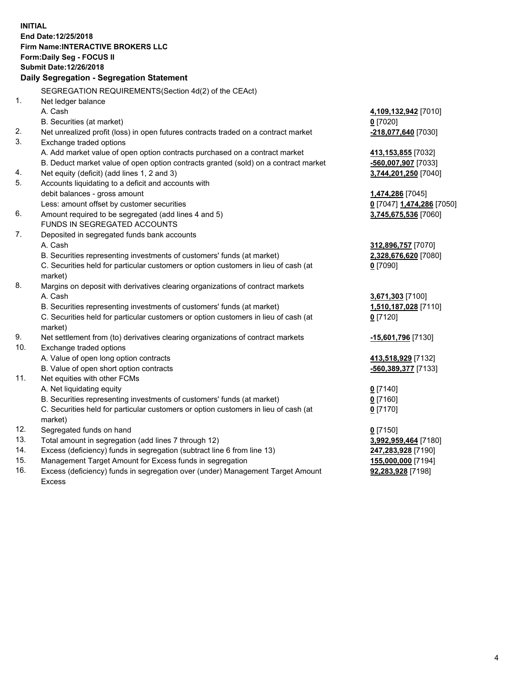**INITIAL End Date:12/25/2018 Firm Name:INTERACTIVE BROKERS LLC Form:Daily Seg - FOCUS II Submit Date:12/26/2018 Daily Segregation - Segregation Statement** SEGREGATION REQUIREMENTS(Section 4d(2) of the CEAct) 1. Net ledger balance A. Cash **4,109,132,942** [7010] B. Securities (at market) **0** [7020] 2. Net unrealized profit (loss) in open futures contracts traded on a contract market **-218,077,640** [7030] 3. Exchange traded options A. Add market value of open option contracts purchased on a contract market **413,153,855** [7032] B. Deduct market value of open option contracts granted (sold) on a contract market **-560,007,907** [7033] 4. Net equity (deficit) (add lines 1, 2 and 3) **3,744,201,250** [7040] 5. Accounts liquidating to a deficit and accounts with debit balances - gross amount **1,474,286** [7045] Less: amount offset by customer securities **0** [7047] **1,474,286** [7050] 6. Amount required to be segregated (add lines 4 and 5) **3,745,675,536** [7060] FUNDS IN SEGREGATED ACCOUNTS 7. Deposited in segregated funds bank accounts A. Cash **312,896,757** [7070] B. Securities representing investments of customers' funds (at market) **2,328,676,620** [7080] C. Securities held for particular customers or option customers in lieu of cash (at market) **0** [7090] 8. Margins on deposit with derivatives clearing organizations of contract markets A. Cash **3,671,303** [7100] B. Securities representing investments of customers' funds (at market) **1,510,187,028** [7110] C. Securities held for particular customers or option customers in lieu of cash (at market) **0** [7120] 9. Net settlement from (to) derivatives clearing organizations of contract markets **-15,601,796** [7130] 10. Exchange traded options A. Value of open long option contracts **413,518,929** [7132] B. Value of open short option contracts **-560,389,377** [7133] 11. Net equities with other FCMs A. Net liquidating equity **0** [7140] B. Securities representing investments of customers' funds (at market) **0** [7160] C. Securities held for particular customers or option customers in lieu of cash (at market) **0** [7170] 12. Segregated funds on hand **0** [7150] 13. Total amount in segregation (add lines 7 through 12) **3,992,959,464** [7180] 14. Excess (deficiency) funds in segregation (subtract line 6 from line 13) **247,283,928** [7190] 15. Management Target Amount for Excess funds in segregation **155,000,000** [7194] **92,283,928** [7198]

16. Excess (deficiency) funds in segregation over (under) Management Target Amount Excess